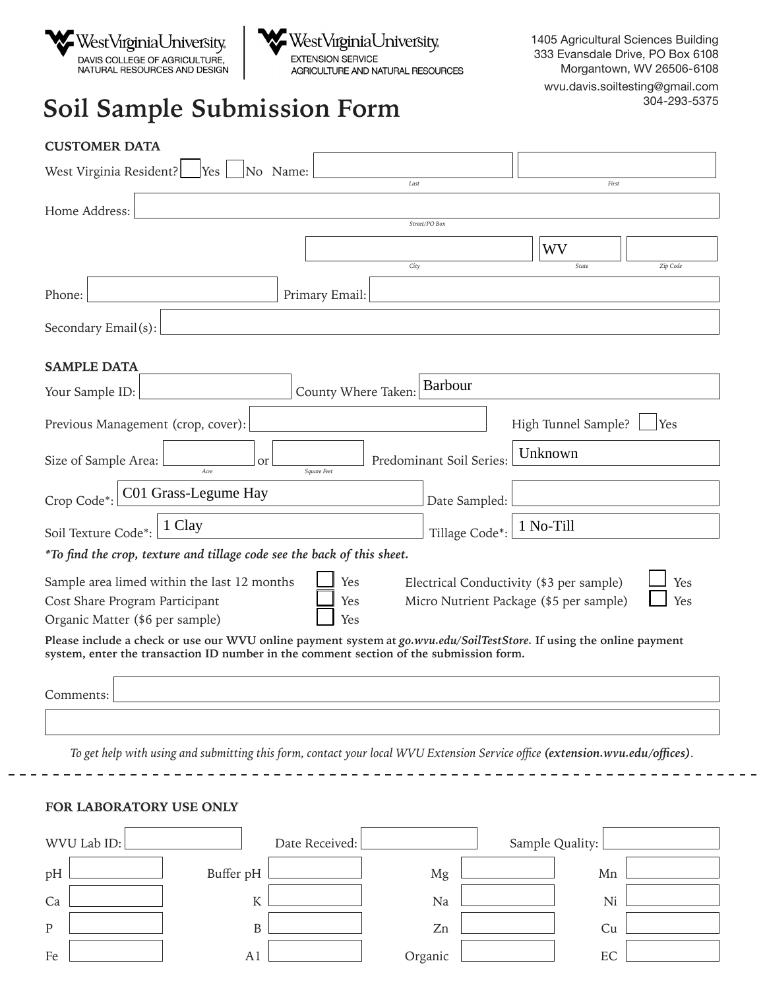

WestVir<mark>giniaUniversity.</mark> **EXTENSION SERVICE** AGRICULTURE AND NATURAL RESOURCES

1405 Agricultural Sciences Building 333 Evansdale Drive, PO Box 6108 Morgantown, WV 26506-6108 wvu.davis.soiltesting@gmail.com 304-293-5375

## **Soil Sample Submission Form**

| <b>CUSTOMER DATA</b>                                                                                                                                                                                           |                     |                          |                                                                                     |            |
|----------------------------------------------------------------------------------------------------------------------------------------------------------------------------------------------------------------|---------------------|--------------------------|-------------------------------------------------------------------------------------|------------|
| West Virginia Resident?<br>Yes<br>No Name:                                                                                                                                                                     |                     |                          |                                                                                     |            |
|                                                                                                                                                                                                                | Last                |                          | First                                                                               |            |
| Home Address:                                                                                                                                                                                                  |                     |                          |                                                                                     |            |
|                                                                                                                                                                                                                | Street/PO Box       |                          |                                                                                     |            |
|                                                                                                                                                                                                                |                     |                          | WV                                                                                  |            |
|                                                                                                                                                                                                                | City                |                          | State                                                                               | Zip Code   |
| Phone:<br>Primary Email:                                                                                                                                                                                       |                     |                          |                                                                                     |            |
| Secondary Email(s):                                                                                                                                                                                            |                     |                          |                                                                                     |            |
|                                                                                                                                                                                                                |                     |                          |                                                                                     |            |
| <b>SAMPLE DATA</b>                                                                                                                                                                                             |                     |                          |                                                                                     |            |
|                                                                                                                                                                                                                |                     | <b>Barbour</b>           |                                                                                     |            |
| Your Sample ID:                                                                                                                                                                                                | County Where Taken: |                          |                                                                                     |            |
| Previous Management (crop, cover):                                                                                                                                                                             |                     |                          | High Tunnel Sample?                                                                 | Yes        |
| Size of Sample Area:<br>or<br>$A$ cro<br>Square Feet                                                                                                                                                           |                     | Predominant Soil Series: | Unknown                                                                             |            |
| C01 Grass-Legume Hay<br>Crop Code*:                                                                                                                                                                            |                     | Date Sampled:            |                                                                                     |            |
| 1 Clay<br>Soil Texture Code*                                                                                                                                                                                   |                     | Tillage Code*:           | 1 No-Till                                                                           |            |
| *To find the crop, texture and tillage code see the back of this sheet.                                                                                                                                        |                     |                          |                                                                                     |            |
| Sample area limed within the last 12 months<br>Cost Share Program Participant<br>Organic Matter (\$6 per sample)                                                                                               | Yes<br>Yes<br>Yes   |                          | Electrical Conductivity (\$3 per sample)<br>Micro Nutrient Package (\$5 per sample) | Yes<br>Yes |
| Please include a check or use our WVU online payment system at go.wvu.edu/SoilTestStore. If using the online payment<br>system, enter the transaction ID number in the comment section of the submission form. |                     |                          |                                                                                     |            |
| Comments:                                                                                                                                                                                                      |                     |                          |                                                                                     |            |
|                                                                                                                                                                                                                |                     |                          |                                                                                     |            |

*To get help with using and submitting this form, contact your local WVU Extension Service office (extension.wvu.edu/offices).*

--------

## **FOR LABORATORY USE ONLY**

|              | WVU Lab ID: |           | Date Received:                |         | Sample Quality: L |  |
|--------------|-------------|-----------|-------------------------------|---------|-------------------|--|
| pH           |             | Buffer pH | the control of the control of | Mg      | Mn                |  |
| Ca           |             | <b>T</b>  |                               | Na      | Ni                |  |
| $\mathsf{P}$ |             | R         |                               | Zn      | Cu                |  |
| Fe           |             | A1        |                               | Organic | EC                |  |